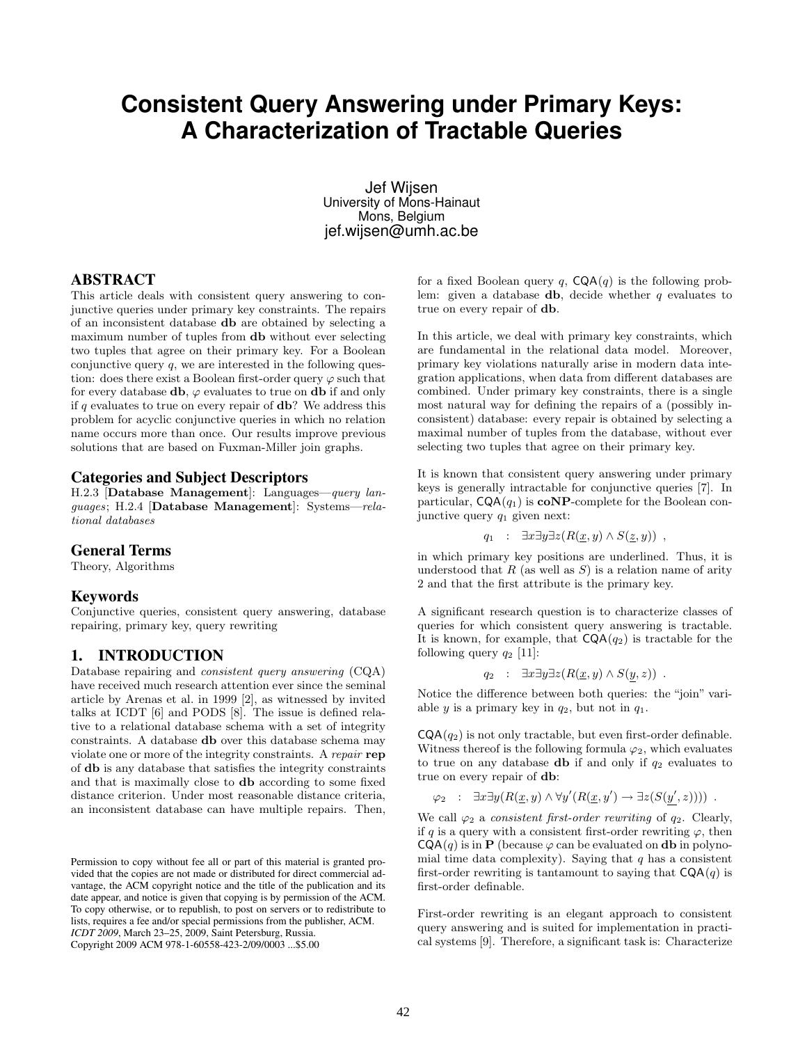# **Consistent Query Answering under Primary Keys: A Characterization of Tractable Queries**

Jef Wijsen University of Mons-Hainaut Mons, Belgium jef.wijsen@umh.ac.be

### **ABSTRACT**

This article deals with consistent query answering to conjunctive queries under primary key constraints. The repairs of an inconsistent database db are obtained by selecting a maximum number of tuples from db without ever selecting two tuples that agree on their primary key. For a Boolean conjunctive query  $q$ , we are interested in the following question: does there exist a Boolean first-order query  $\varphi$  such that for every database  $db$ ,  $\varphi$  evaluates to true on db if and only if  $q$  evaluates to true on every repair of  $db$ ? We address this problem for acyclic conjunctive queries in which no relation name occurs more than once. Our results improve previous solutions that are based on Fuxman-Miller join graphs.

### **Categories and Subject Descriptors**

H.2.3 [Database Management]: Languages—query languages; H.2.4 [Database Management]: Systems—relational databases

#### **General Terms**

Theory, Algorithms

#### **Keywords**

Conjunctive queries, consistent query answering, database repairing, primary key, query rewriting

## **1. INTRODUCTION**

Database repairing and consistent query answering (CQA) have received much research attention ever since the seminal article by Arenas et al. in 1999 [2], as witnessed by invited talks at ICDT [6] and PODS [8]. The issue is defined relative to a relational database schema with a set of integrity constraints. A database db over this database schema may violate one or more of the integrity constraints. A repair rep of db is any database that satisfies the integrity constraints and that is maximally close to db according to some fixed distance criterion. Under most reasonable distance criteria, an inconsistent database can have multiple repairs. Then,

for a fixed Boolean query q,  $CQA(q)$  is the following problem: given a database **db**, decide whether  $q$  evaluates to true on every repair of db.

In this article, we deal with primary key constraints, which are fundamental in the relational data model. Moreover, primary key violations naturally arise in modern data integration applications, when data from different databases are combined. Under primary key constraints, there is a single most natural way for defining the repairs of a (possibly inconsistent) database: every repair is obtained by selecting a maximal number of tuples from the database, without ever selecting two tuples that agree on their primary key.

It is known that consistent query answering under primary keys is generally intractable for conjunctive queries [7]. In particular,  $CQA(q_1)$  is **coNP**-complete for the Boolean conjunctive query  $q_1$  given next:

$$
q_1 : \exists x \exists y \exists z (R(\underline{x}, y) \wedge S(\underline{z}, y)) ,
$$

in which primary key positions are underlined. Thus, it is understood that  $R$  (as well as  $S$ ) is a relation name of arity 2 and that the first attribute is the primary key.

A significant research question is to characterize classes of queries for which consistent query answering is tractable. It is known, for example, that  $CQA(q_2)$  is tractable for the following query  $q_2$  [11]:

$$
q_2 : \exists x \exists y \exists z (R(\underline{x}, y) \wedge S(y, z)) .
$$

Notice the difference between both queries: the "join" variable y is a primary key in  $q_2$ , but not in  $q_1$ .

 $\textsf{CQA}(q_2)$  is not only tractable, but even first-order definable. Witness thereof is the following formula  $\varphi_2$ , which evaluates to true on any database **db** if and only if  $q_2$  evaluates to true on every repair of db:

$$
\varphi_2 : \exists x \exists y (R(\underline{x}, y) \land \forall y' (R(\underline{x}, y') \to \exists z (S(y', z)))) .
$$

We call  $\varphi_2$  a *consistent first-order rewriting* of  $q_2$ . Clearly, if q is a query with a consistent first-order rewriting  $\varphi$ , then  $CQA(q)$  is in P (because  $\varphi$  can be evaluated on db in polynomial time data complexity). Saying that  $q$  has a consistent first-order rewriting is tantamount to saying that  $CQA(q)$  is first-order definable.

First-order rewriting is an elegant approach to consistent query answering and is suited for implementation in practical systems [9]. Therefore, a significant task is: Characterize

Permission to copy without fee all or part of this material is granted provided that the copies are not made or distributed for direct commercial advantage, the ACM copyright notice and the title of the publication and its date appear, and notice is given that copying is by permission of the ACM. To copy otherwise, or to republish, to post on servers or to redistribute to lists, requires a fee and/or special permissions from the publisher, ACM. *ICDT 2009*, March 23–25, 2009, Saint Petersburg, Russia. Copyright 2009 ACM 978-1-60558-423-2/09/0003 ...\$5.00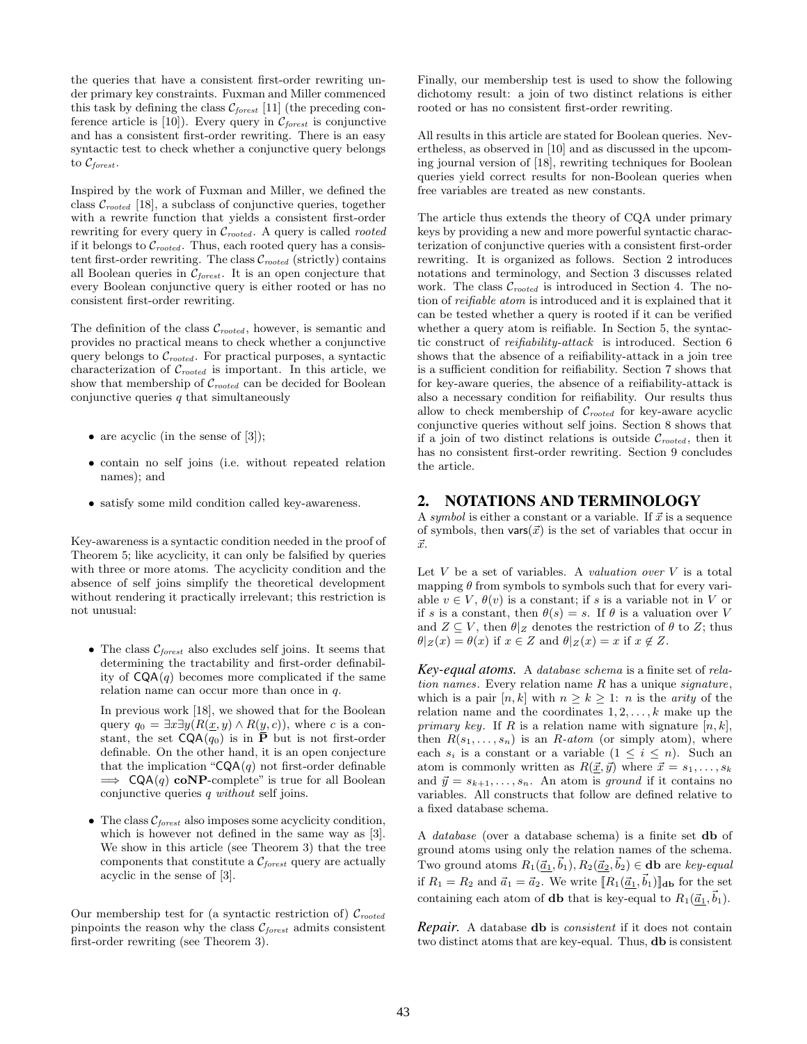the queries that have a consistent first-order rewriting under primary key constraints. Fuxman and Miller commenced this task by defining the class  $C_{forest}$  [11] (the preceding conference article is [10]). Every query in  $\mathcal{C}_{forest}$  is conjunctive and has a consistent first-order rewriting. There is an easy syntactic test to check whether a conjunctive query belongs to  $\mathcal{C}_{forest}$ .

Inspired by the work of Fuxman and Miller, we defined the class  $\mathcal{C}_{rooted}$  [18], a subclass of conjunctive queries, together with a rewrite function that yields a consistent first-order rewriting for every query in  $C_{rooted}$ . A query is called *rooted* if it belongs to  $C_{rooted}$ . Thus, each rooted query has a consistent first-order rewriting. The class  $C_{rooted}$  (strictly) contains all Boolean queries in  $C_{forest}$ . It is an open conjecture that every Boolean conjunctive query is either rooted or has no consistent first-order rewriting.

The definition of the class  $\mathcal{C}_{rooted}$ , however, is semantic and provides no practical means to check whether a conjunctive query belongs to  $C_{rooted}$ . For practical purposes, a syntactic characterization of  $C_{rooted}$  is important. In this article, we show that membership of  $C_{rooted}$  can be decided for Boolean conjunctive queries  $q$  that simultaneously

- are acyclic (in the sense of  $[3]$ );
- contain no self joins (i.e. without repeated relation names); and
- satisfy some mild condition called key-awareness.

Key-awareness is a syntactic condition needed in the proof of Theorem 5; like acyclicity, it can only be falsified by queries with three or more atoms. The acyclicity condition and the absence of self joins simplify the theoretical development without rendering it practically irrelevant; this restriction is not unusual:

• The class  $C_{forest}$  also excludes self joins. It seems that determining the tractability and first-order definability of  $CQA(q)$  becomes more complicated if the same relation name can occur more than once in q.

In previous work [18], we showed that for the Boolean query  $q_0 = \exists x \exists y (R(\underline{x}, y) \land R(y, c))$ , where c is a constant, the set  $\mathsf{CQA}(q_0)$  is in  $\overline{\mathbf{P}}$  but is not first-order definable. On the other hand, it is an open conjecture that the implication " $CQA(q)$  not first-order definable  $\implies$  CQA(q) coNP-complete" is true for all Boolean conjunctive queries q without self joins.

• The class  $\mathcal{C}_{forest}$  also imposes some acyclicity condition, which is however not defined in the same way as [3]. We show in this article (see Theorem 3) that the tree components that constitute a  $C_{forest}$  query are actually acyclic in the sense of [3].

Our membership test for (a syntactic restriction of)  $\mathcal{C}_{rooted}$ pinpoints the reason why the class  $C_{forest}$  admits consistent first-order rewriting (see Theorem 3).

Finally, our membership test is used to show the following dichotomy result: a join of two distinct relations is either rooted or has no consistent first-order rewriting.

All results in this article are stated for Boolean queries. Nevertheless, as observed in [10] and as discussed in the upcoming journal version of [18], rewriting techniques for Boolean queries yield correct results for non-Boolean queries when free variables are treated as new constants.

The article thus extends the theory of CQA under primary keys by providing a new and more powerful syntactic characterization of conjunctive queries with a consistent first-order rewriting. It is organized as follows. Section 2 introduces notations and terminology, and Section 3 discusses related work. The class  $\mathcal{C}_{rooted}$  is introduced in Section 4. The notion of reifiable atom is introduced and it is explained that it can be tested whether a query is rooted if it can be verified whether a query atom is reifiable. In Section 5, the syntactic construct of reifiability-attack is introduced. Section 6 shows that the absence of a reifiability-attack in a join tree is a sufficient condition for reifiability. Section 7 shows that for key-aware queries, the absence of a reifiability-attack is also a necessary condition for reifiability. Our results thus allow to check membership of  $C_{rooted}$  for key-aware acyclic conjunctive queries without self joins. Section 8 shows that if a join of two distinct relations is outside  $\mathcal{C}_{rooted}$ , then it has no consistent first-order rewriting. Section 9 concludes the article.

# **2. NOTATIONS AND TERMINOLOGY**

A symbol is either a constant or a variable. If  $\vec{x}$  is a sequence of symbols, then vars $(\vec{x})$  is the set of variables that occur in  $\vec{x}$ .

Let  $V$  be a set of variables. A valuation over  $V$  is a total mapping  $\theta$  from symbols to symbols such that for every variable  $v \in V$ ,  $\theta(v)$  is a constant; if s is a variable not in V or if s is a constant, then  $\theta(s) = s$ . If  $\theta$  is a valuation over V and  $Z \subseteq V$ , then  $\theta|_Z$  denotes the restriction of  $\theta$  to  $Z$ ; thus  $\theta|Z(x) = \theta(x)$  if  $x \in Z$  and  $\theta|Z(x) = x$  if  $x \notin Z$ .

*Key-equal atoms.* A database schema is a finite set of relation names. Every relation name  $R$  has a unique signature, which is a pair  $[n, k]$  with  $n \geq k \geq 1$ : *n* is the *arity* of the relation name and the coordinates  $1, 2, \ldots, k$  make up the primary key. If R is a relation name with signature  $[n, k]$ , then  $R(s_1, \ldots, s_n)$  is an R-atom (or simply atom), where each  $s_i$  is a constant or a variable  $(1 \leq i \leq n)$ . Such an atom is commonly written as  $R(\vec{x}, \vec{y})$  where  $\vec{x} = s_1, \ldots, s_k$ and  $\vec{y} = s_{k+1}, \ldots, s_n$ . An atom is ground if it contains no variables. All constructs that follow are defined relative to a fixed database schema.

A database (over a database schema) is a finite set db of ground atoms using only the relation names of the schema. Two ground atoms  $R_1(\vec{a}_1, \vec{b}_1), R_2(\vec{a}_2, \vec{b}_2) \in \mathbf{db}$  are key-equal if  $R_1 = R_2$  and  $\vec{a}_1 = \vec{a}_2$ . We write  $[[R_1(\vec{a}_1, \vec{b}_1)]]$ <sub>db</sub> for the set containing each atom of **db** that is key-equal to  $R_1(\vec{a}_1, \vec{b}_1)$ .

*Repair.* A database db is consistent if it does not contain two distinct atoms that are key-equal. Thus, db is consistent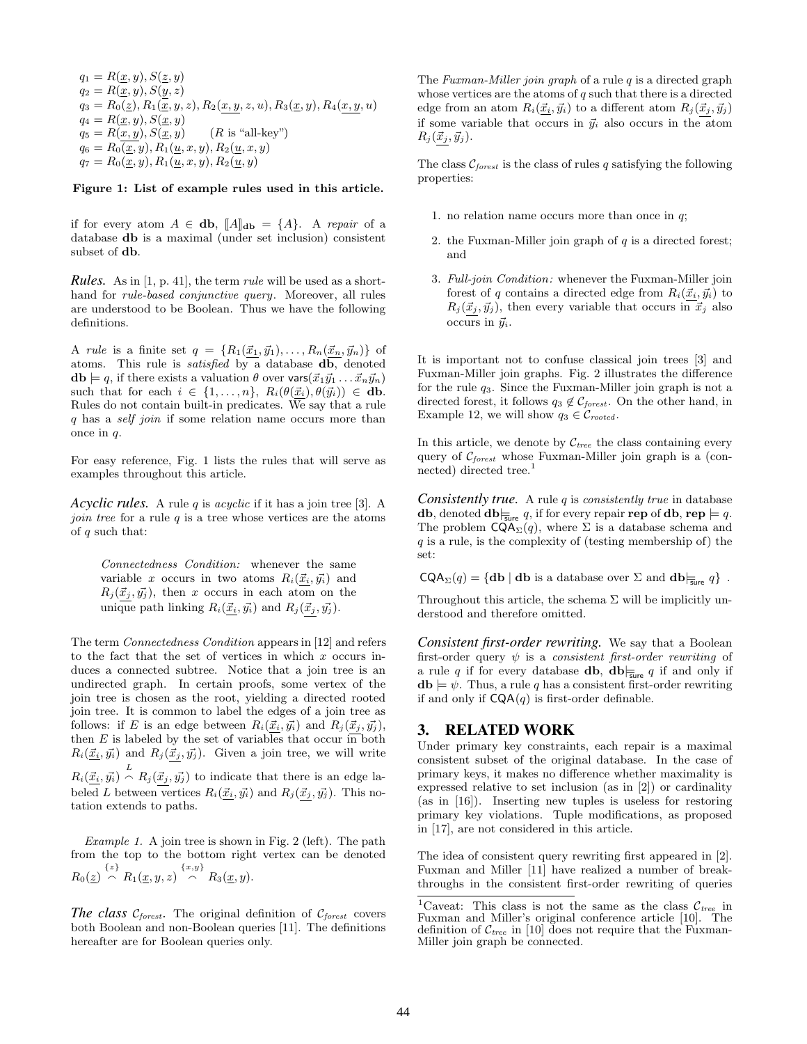$q_1 = R(\underline{x},y), S(\underline{z},y)$  $q_2 = R(\underline{x}, y), S(y, z)$  $q_3 = R_0(\underline{z}), R_1(\overline{\underline{x}}, y, z), R_2(\underline{x}, \underline{y}, z, u), R_3(\underline{x}, y), R_4(\underline{x}, \underline{y}, u)$  $q_4 = R(\underline{x}, y), S(\underline{x}, y)$  $q_5 = R(\underline{x}, \underline{y}), S(\underline{x}, \underline{y})$  (*R* is "all-key")  $q_6 = R_0(\underline{x}, y), R_1(\underline{u}, x, y), R_2(\underline{u}, x, y)$  $q_7 = R_0(\underline{x}, y), R_1(\underline{u}, x, y), R_2(\underline{u}, y)$ 

#### Figure 1: List of example rules used in this article.

if for every atom  $A \in \mathbf{db}$ ,  $\llbracket A \rrbracket_{\mathbf{db}} = \{A\}$ . A repair of a database db is a maximal (under set inclusion) consistent subset of db.

*Rules.* As in [1, p. 41], the term rule will be used as a shorthand for rule-based conjunctive query. Moreover, all rules are understood to be Boolean. Thus we have the following definitions.

A rule is a finite set  $q = \{R_1(\vec{x}_1, \vec{y}_1), \ldots, R_n(\vec{x}_n, \vec{y}_n)\}\$  of atoms. This rule is satisfied by a database db, denoted  $\mathbf{db} \models q$ , if there exists a valuation  $\theta$  over  $\mathsf{vars}(\vec{x}_1\vec{y}_1 \dots \vec{x}_n\vec{y}_n)$ such that for each  $i \in \{1, \ldots, n\}, R_i(\theta(\vec{x}_i), \theta(\vec{y}_i)) \in \mathbf{db}.$ Rules do not contain built-in predicates. We say that a rule q has a self join if some relation name occurs more than once in  $q$ .

For easy reference, Fig. 1 lists the rules that will serve as examples throughout this article.

*Acyclic rules.* A rule q is acyclic if it has a join tree [3]. A *join tree* for a rule  $q$  is a tree whose vertices are the atoms of  $q$  such that:

Connectedness Condition: whenever the same variable x occurs in two atoms  $R_i(\vec{x}_i, \vec{y}_i)$  and  $R_j(\vec{x}_j, \vec{y}_j)$ , then x occurs in each atom on the unique path linking  $R_i(\underline{\vec{x}_i}, \vec{y}_i)$  and  $R_j(\vec{x}_j, \vec{y}_j)$ .

The term Connectedness Condition appears in [12] and refers to the fact that the set of vertices in which  $x$  occurs induces a connected subtree. Notice that a join tree is an undirected graph. In certain proofs, some vertex of the join tree is chosen as the root, yielding a directed rooted join tree. It is common to label the edges of a join tree as follows: if E is an edge between  $R_i(\vec{x}_i, \vec{y}_i)$  and  $R_j(\vec{x}_j, \vec{y}_j)$ , then  $E$  is labeled by the set of variables that occur in both  $R_i(\underline{\vec{x}_i}, \vec{y}_i)$  and  $R_j(\vec{x}_j, \vec{y}_j)$ . Given a join tree, we will write  $R_i(\vec{x}_i, \vec{y}_i) \stackrel{L}{\frown} R_j(\vec{x}_j, \vec{y}_j)$  to indicate that there is an edge labeled L between vertices  $R_i(\vec{x}_i, \vec{y}_i)$  and  $R_j(\vec{x}_j, \vec{y}_j)$ . This notation extends to paths.

Example 1. A join tree is shown in Fig. 2 (left). The path from the top to the bottom right vertex can be denoted  $R_0(\underline{z}) \stackrel{\{z\}}{\curvearrowright} R_1(\underline{x},y,z) \stackrel{\{x,y\}}{\curvearrowright} R_3(\underline{x},y).$ 

*The class*  $\mathcal{C}_{forest}$ . The original definition of  $\mathcal{C}_{forest}$  covers both Boolean and non-Boolean queries [11]. The definitions hereafter are for Boolean queries only.

The Fuxman-Miller join graph of a rule  $q$  is a directed graph whose vertices are the atoms of  $q$  such that there is a directed edge from an atom  $R_i(\underline{\vec{x}_i}, \vec{y}_i)$  to a different atom  $R_j(\vec{x}_j, \vec{y}_j)$ if some variable that occurs in  $\vec{y}_i$  also occurs in the atom  $R_j(\vec{x}_j, \vec{y}_j).$ 

The class  $C_{forest}$  is the class of rules q satisfying the following properties:

- 1. no relation name occurs more than once in  $q$ ;
- 2. the Fuxman-Miller join graph of  $q$  is a directed forest; and
- 3. Full-join Condition: whenever the Fuxman-Miller join forest of q contains a directed edge from  $R_i(\vec{x}_i, \vec{y}_i)$  to  $R_j (\vec{x}_j, \vec{y}_j)$ , then every variable that occurs in  $\vec{x}_j$  also occurs in  $\vec{y}_i$ .

It is important not to confuse classical join trees [3] and Fuxman-Miller join graphs. Fig. 2 illustrates the difference for the rule  $q_3$ . Since the Fuxman-Miller join graph is not a directed forest, it follows  $q_3 \notin \mathcal{C}_{forest}$ . On the other hand, in Example 12, we will show  $q_3 \in \mathcal{C}_{rooted}$ .

In this article, we denote by  $\mathcal{C}_{tree}$  the class containing every query of  $C_{forest}$  whose Fuxman-Miller join graph is a (connected) directed tree.<sup>1</sup>

*Consistently true.* A rule  $q$  is *consistently true* in database **db**, denoted  $\mathbf{db}|_{\overline{\mathbf{s}}$ ure  $q$ , if for every repair **rep** of  $\mathbf{db}$ , **rep**  $\models q$ . The problem  $\mathsf{CQA}_{\Sigma}(q)$ , where  $\Sigma$  is a database schema and  $q$  is a rule, is the complexity of (testing membership of) the set:

 $\mathsf{CQA}_{\Sigma}(q) = \{ \mathbf{db} \mid \mathbf{db} \text{ is a database over } \Sigma \text{ and } \mathbf{db} \vert_{\overline{\mathsf{sure}}} q \}.$ 

Throughout this article, the schema  $\Sigma$  will be implicitly understood and therefore omitted.

*Consistent first-order rewriting.* We say that a Boolean first-order query  $\psi$  is a consistent first-order rewriting of a rule q if for every database **db**,  $d\mathbf{b}$   $\Big|_{\text{sure}}$  q if and only if  $\mathbf{db} \models \psi$ . Thus, a rule q has a consistent first-order rewriting if and only if  $CQA(q)$  is first-order definable.

## **3. RELATED WORK**

Under primary key constraints, each repair is a maximal consistent subset of the original database. In the case of primary keys, it makes no difference whether maximality is expressed relative to set inclusion (as in [2]) or cardinality (as in [16]). Inserting new tuples is useless for restoring primary key violations. Tuple modifications, as proposed in [17], are not considered in this article.

The idea of consistent query rewriting first appeared in [2]. Fuxman and Miller [11] have realized a number of breakthroughs in the consistent first-order rewriting of queries

<sup>&</sup>lt;sup>1</sup>Caveat: This class is not the same as the class  $C_{tree}$  in Fuxman and Miller's original conference article [10]. The definition of  $\mathcal{C}_{tree}$  in [10] does not require that the Fuxman-Miller join graph be connected.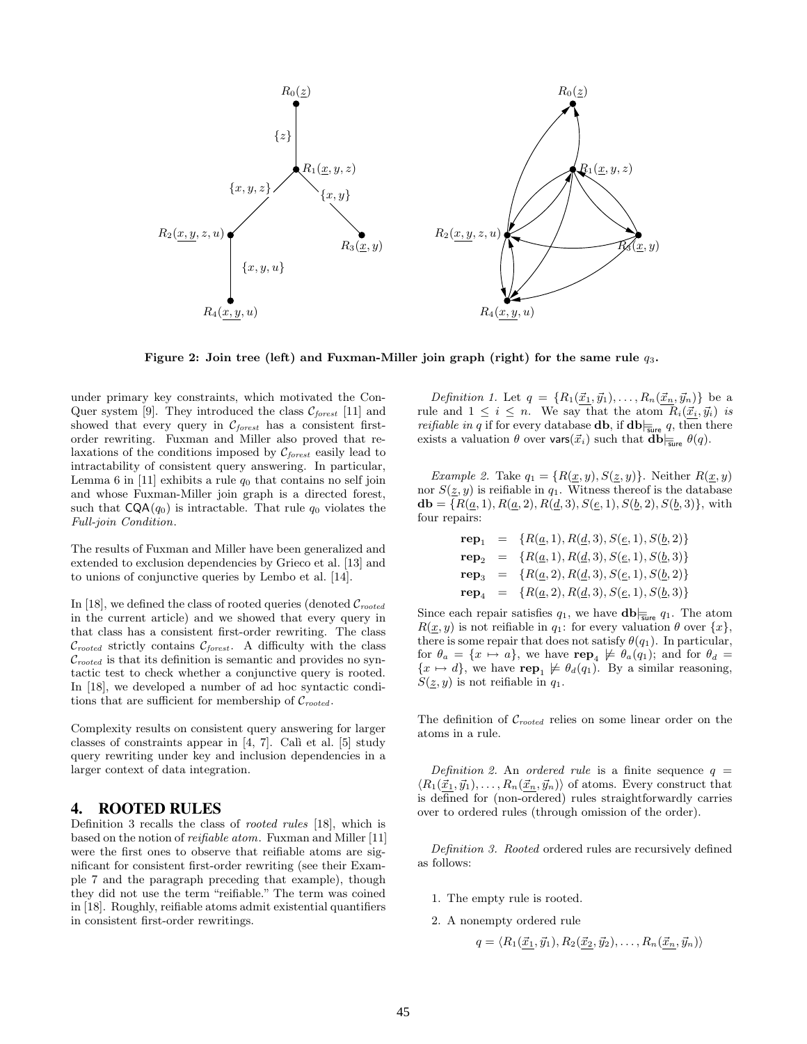

Figure 2: Join tree (left) and Fuxman-Miller join graph (right) for the same rule  $q_3$ .

under primary key constraints, which motivated the Con-Quer system [9]. They introduced the class  $C_{forest}$  [11] and showed that every query in  $C_{forest}$  has a consistent firstorder rewriting. Fuxman and Miller also proved that relaxations of the conditions imposed by  $C_{forest}$  easily lead to intractability of consistent query answering. In particular, Lemma 6 in [11] exhibits a rule  $q_0$  that contains no self join and whose Fuxman-Miller join graph is a directed forest, such that  $CQA(q_0)$  is intractable. That rule  $q_0$  violates the Full-join Condition.

The results of Fuxman and Miller have been generalized and extended to exclusion dependencies by Grieco et al. [13] and to unions of conjunctive queries by Lembo et al. [14].

In [18], we defined the class of rooted queries (denoted  $\mathcal{C}_{rooted}$ in the current article) and we showed that every query in that class has a consistent first-order rewriting. The class  $\mathcal{C}_{rooted}$  strictly contains  $\mathcal{C}_{forest}$ . A difficulty with the class  $\mathcal{C}_{rooted}$  is that its definition is semantic and provides no syntactic test to check whether a conjunctive query is rooted. In [18], we developed a number of ad hoc syntactic conditions that are sufficient for membership of  $C_{rooted}$ .

Complexity results on consistent query answering for larger classes of constraints appear in  $[4, 7]$ . Calì et al.  $[5]$  study query rewriting under key and inclusion dependencies in a larger context of data integration.

## **4. ROOTED RULES**

Definition 3 recalls the class of rooted rules [18], which is based on the notion of reifiable atom. Fuxman and Miller [11] were the first ones to observe that reifiable atoms are significant for consistent first-order rewriting (see their Example 7 and the paragraph preceding that example), though they did not use the term "reifiable." The term was coined in [18]. Roughly, reifiable atoms admit existential quantifiers in consistent first-order rewritings.

Definition 1. Let  $q = \{R_1(\underline{\vec{x}_1}, \vec{y}_1), \ldots, R_n(\underline{\vec{x}_n}, \vec{y}_n)\}\$  be a rule and  $1 \leq i \leq n$ . We say that the atom  $R_i(\vec{x}_i, \vec{y}_i)$  is *reifiable in q* if for every database **db**, if  $\mathbf{db}$ <sub>*i*sure</sub> q, then there exists a valuation  $\theta$  over vars $(\vec{x}_i)$  such that  $\mathbf{db}_{\overline{\xi}_{\text{ure}}}\theta(q)$ .

Example 2. Take  $q_1 = \{R(\underline{x}, y), S(\underline{z}, y)\}.$  Neither  $R(\underline{x}, y)$ nor  $S(\underline{z}, y)$  is reifiable in  $q_1$ . Witness thereof is the database  $\mathbf{db} = \{R(\underline{a}, 1), R(\underline{a}, 2), R(\underline{d}, 3), S(\underline{e}, 1), S(\underline{b}, 2), S(\underline{b}, 3)\},\$ with four repairs:

$$
\begin{array}{rcl}\n\mathbf{rep}_1 & = & \{R(\underline{a}, 1), R(\underline{d}, 3), S(\underline{e}, 1), S(\underline{b}, 2)\} \\
\mathbf{rep}_2 & = & \{R(\underline{a}, 1), R(\underline{d}, 3), S(\underline{e}, 1), S(\underline{b}, 3)\} \\
\mathbf{rep}_3 & = & \{R(\underline{a}, 2), R(\underline{d}, 3), S(\underline{e}, 1), S(\underline{b}, 2)\} \\
\mathbf{rep}_4 & = & \{R(\underline{a}, 2), R(\underline{d}, 3), S(\underline{e}, 1), S(\underline{b}, 3)\}\n\end{array}
$$

Since each repair satisfies  $q_1$ , we have  $\mathbf{db}|_{\overline{\mathsf{sure}}} q_1$ . The atom  $R(\underline{x}, y)$  is not reifiable in  $q_1$ : for every valuation  $\theta$  over  $\{x\}$ , there is some repair that does not satisfy  $\theta(q_1)$ . In particular, for  $\theta_a = \{x \mapsto a\}$ , we have  $\mathbf{rep}_4 \not\models \theta_a(q_1)$ ; and for  $\theta_d =$  ${x \mapsto d}$ , we have  $\textbf{rep}_1 \not\models \theta_d(q_1)$ . By a similar reasoning,  $S(\underline{z}, y)$  is not reifiable in  $q_1$ .

The definition of  $\mathcal{C}_{rooted}$  relies on some linear order on the atoms in a rule.

Definition 2. An ordered rule is a finite sequence  $q =$  $\langle R_1(\underline{\vec{x}}_1, \vec{y}_1), \ldots, R_n(\underline{\vec{x}}_n, \vec{y}_n) \rangle$  of atoms. Every construct that is defined for (non-ordered) rules straightforwardly carries over to ordered rules (through omission of the order).

Definition 3. Rooted ordered rules are recursively defined as follows:

- 1. The empty rule is rooted.
- 2. A nonempty ordered rule

$$
q = \langle R_1(\vec{x}_1, \vec{y}_1), R_2(\vec{x}_2, \vec{y}_2), \dots, R_n(\vec{x}_n, \vec{y}_n) \rangle
$$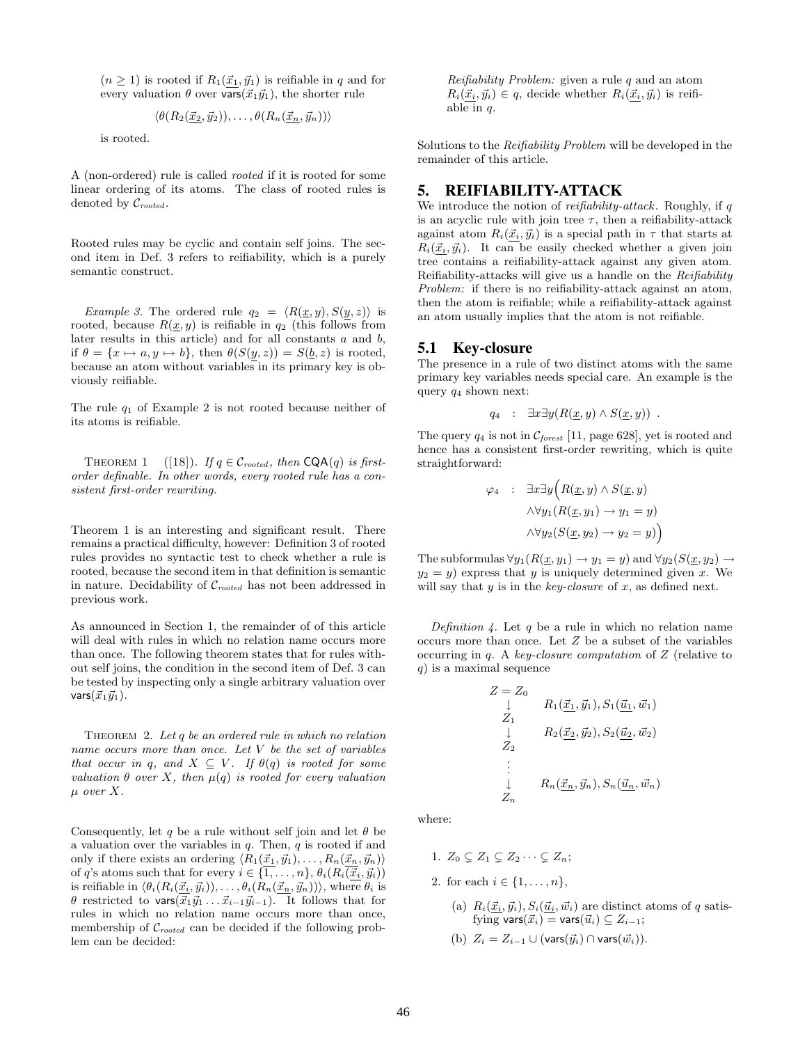$(n \geq 1)$  is rooted if  $R_1(\vec{x}_1, \vec{y}_1)$  is reifiable in q and for every valuation  $\theta$  over vars $(\vec{x}_1 \vec{y}_1)$ , the shorter rule

$$
\langle \theta(R_2(\underline{\vec{x}_2}, \vec{y}_2)), \ldots, \theta(R_n(\underline{\vec{x}_n}, \vec{y}_n)) \rangle
$$

is rooted.

A (non-ordered) rule is called rooted if it is rooted for some linear ordering of its atoms. The class of rooted rules is denoted by  $\mathcal{C}_{rooted}$ .

Rooted rules may be cyclic and contain self joins. The second item in Def. 3 refers to reifiability, which is a purely semantic construct.

*Example 3.* The ordered rule  $q_2 = \langle R(\underline{x}, y), S(y, z) \rangle$  is rooted, because  $R(\underline{x}, y)$  is reifiable in  $q_2$  (this follows from later results in this article) and for all constants  $a$  and  $b$ , if  $\theta = \{x \mapsto a, y \mapsto b\}$ , then  $\theta(S(y, z)) = S(\underline{b}, z)$  is rooted, because an atom without variables in its primary key is obviously reifiable.

The rule  $q_1$  of Example 2 is not rooted because neither of its atoms is reifiable.

THEOREM 1 ([18]). If  $q \in \mathcal{C}_{rooted}$ , then  $\textsf{CQA}(q)$  is firstorder definable. In other words, every rooted rule has a consistent first-order rewriting.

Theorem 1 is an interesting and significant result. There remains a practical difficulty, however: Definition 3 of rooted rules provides no syntactic test to check whether a rule is rooted, because the second item in that definition is semantic in nature. Decidability of  $C_{rooted}$  has not been addressed in previous work.

As announced in Section 1, the remainder of of this article will deal with rules in which no relation name occurs more than once. The following theorem states that for rules without self joins, the condition in the second item of Def. 3 can be tested by inspecting only a single arbitrary valuation over vars $(\vec{x}_1\vec{y}_1)$ .

THEOREM 2. Let  $q$  be an ordered rule in which no relation name occurs more than once. Let V be the set of variables that occur in q, and  $X \subseteq V$ . If  $\theta(q)$  is rooted for some valuation  $\theta$  over X, then  $\mu(q)$  is rooted for every valuation  $\mu$  over X.

Consequently, let q be a rule without self join and let  $\theta$  be a valuation over the variables in  $q$ . Then,  $q$  is rooted if and only if there exists an ordering  $\langle R_1(\underline{\vec{x}_1}, \vec{y}_1), \ldots, R_n(\underline{\vec{x}_n}, \vec{y}_n) \rangle$ of q's atoms such that for every  $i \in \{1, \ldots, n\}, \theta_i(R_i(\vec{x}_i, \vec{y}_i))$ is reifiable in  $\langle \theta_i(R_i(\underline{\vec{x}_i}, \vec{y}_i)), \ldots, \theta_i(R_n(\underline{\vec{x}_n}, \vec{y}_n)) \rangle$ , where  $\theta_i$  is  $\theta$  restricted to vars $(\vec{x}_1 \vec{y}_1 \dots \vec{x}_{i-1} \vec{y}_{i-1})$ . It follows that for rules in which no relation name occurs more than once, membership of  $\mathcal{C}_{rooted}$  can be decided if the following problem can be decided:

Reifiability Problem: given a rule  $q$  and an atom  $R_i(\vec{x}_i, \vec{y}_i) \in q$ , decide whether  $R_i(\vec{x}_i, \vec{y}_i)$  is reifiable in q.

Solutions to the Reifiability Problem will be developed in the remainder of this article.

# **5. REIFIABILITY-ATTACK**

We introduce the notion of  $\emph{reifiability-attack}$  . Roughly, if  $q$ is an acyclic rule with join tree  $\tau$ , then a reifiability-attack against atom  $R_i(\vec{x}_i, \vec{y}_i)$  is a special path in  $\tau$  that starts at  $R_i(\vec{x}_i, \vec{y}_i)$ . It can be easily checked whether a given join tree contains a reifiability-attack against any given atom. Reifiability-attacks will give us a handle on the Reifiability Problem: if there is no reifiability-attack against an atom, then the atom is reifiable; while a reifiability-attack against an atom usually implies that the atom is not reifiable.

# **5.1 Key-closure**

The presence in a rule of two distinct atoms with the same primary key variables needs special care. An example is the query  $q_4$  shown next:

$$
q_4 : \exists x \exists y (R(\underline{x}, y) \wedge S(\underline{x}, y)) .
$$

The query  $q_4$  is not in  $\mathcal{C}_{forest}$  [11, page 628], yet is rooted and hence has a consistent first-order rewriting, which is quite straightforward:

$$
\varphi_4 : \exists x \exists y \Big( R(\underline{x}, y) \land S(\underline{x}, y) \land \forall y_1 (R(\underline{x}, y_1) \to y_1 = y) \land \forall y_2 (S(\underline{x}, y_2) \to y_2 = y) \Big)
$$

The subformulas  $\forall y_1(R(x, y_1) \rightarrow y_1 = y)$  and  $\forall y_2(S(x, y_2) \rightarrow$  $y_2 = y$ ) express that y is uniquely determined given x. We will say that  $y$  is in the key-closure of  $x$ , as defined next.

Definition 4. Let q be a rule in which no relation name occurs more than once. Let Z be a subset of the variables occurring in  $q$ . A key-closure computation of  $Z$  (relative to  $q$ ) is a maximal sequence

$$
Z = Z_0
$$
  
\n
$$
\downarrow \qquad R_1(\underline{\vec{x}}_1, \vec{y}_1), S_1(\underline{\vec{u}}_1, \vec{w}_1)
$$
  
\n
$$
Z_1
$$
  
\n
$$
\downarrow \qquad R_2(\underline{\vec{x}}_2, \vec{y}_2), S_2(\underline{\vec{u}}_2, \vec{w}_2)
$$
  
\n
$$
\vdots
$$
  
\n
$$
\downarrow \qquad R_n(\underline{\vec{x}}_n, \vec{y}_n), S_n(\underline{\vec{u}}_n, \vec{w}_n)
$$
  
\n
$$
Z_n
$$

where:

- 1.  $Z_0 \subset Z_1 \subset Z_2 \cdots \subset Z_n;$
- 2. for each  $i \in \{1, ..., n\},\$ 
	- (a)  $R_i(\underline{\vec{x}_i}, \vec{y}_i), S_i(\underline{\vec{u}_i}, \vec{w}_i)$  are distinct atoms of q satisfying vars $(\vec{x}_i)$  = vars $(\vec{u}_i) \subseteq Z_{i-1}$ ;
	- (b)  $Z_i = Z_{i-1} \cup (\text{vars}(\vec{y}_i) \cap \text{vars}(\vec{w}_i)).$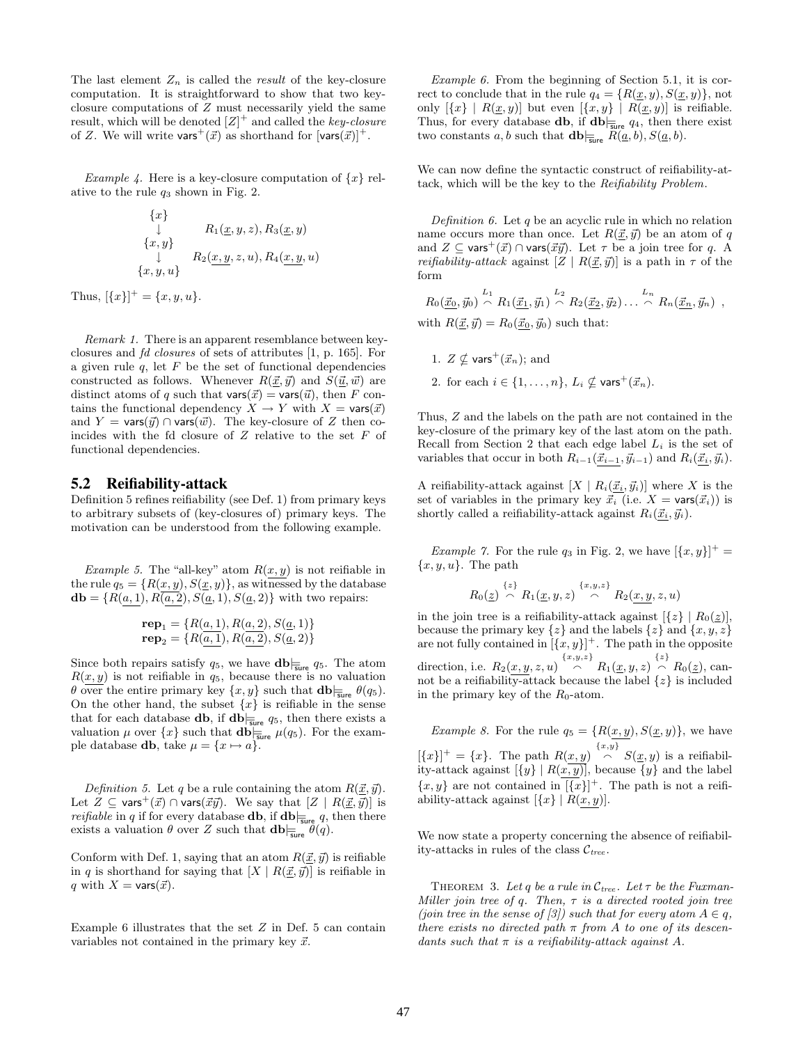The last element  $Z_n$  is called the *result* of the key-closure computation. It is straightforward to show that two keyclosure computations of Z must necessarily yield the same result, which will be denoted  $[Z]^+$  and called the key-closure of Z. We will write vars<sup>+</sup> $(\vec{x})$  as shorthand for  $[vars(\vec{x})]^{+}$ .

Example 4. Here is a key-closure computation of  $\{x\}$  relative to the rule  $q_3$  shown in Fig. 2.

$$
\begin{array}{c}\n\{x\} \\
\downarrow \quad R_1(\underline{x}, y, z), R_3(\underline{x}, y) \\
\downarrow \quad R_2(\underline{x}, \underline{y}, z, u), R_4(\underline{x}, \underline{y}, u) \\
\{x, y, u\}\n\end{array}
$$

Thus,  $[\{x\}]^+ = \{x, y, u\}.$ 

Remark 1. There is an apparent resemblance between keyclosures and fd closures of sets of attributes [1, p. 165]. For a given rule  $q$ , let  $F$  be the set of functional dependencies constructed as follows. Whenever  $R(\underline{\vec{x}}, \vec{y})$  and  $S(\underline{\vec{u}}, \vec{w})$  are distinct atoms of q such that  $\text{vars}(\vec{x}) = \text{vars}(\vec{u})$ , then F contains the functional dependency  $X \to Y$  with  $X = \text{vars}(\vec{x})$ and  $Y = \text{vars}(\vec{y}) \cap \text{vars}(\vec{w})$ . The key-closure of Z then coincides with the fd closure of  $Z$  relative to the set  $F$  of functional dependencies.

## **5.2 Reifiability-attack**

Definition 5 refines reifiability (see Def. 1) from primary keys to arbitrary subsets of (key-closures of) primary keys. The motivation can be understood from the following example.

Example 5. The "all-key" atom  $R(x, y)$  is not reifiable in the rule  $q_5 = \{R(x, y), S(\underline{x}, y)\}\$ , as witnessed by the database  **with two repairs:** 

$$
\mathbf{rep}_1 = \{ R(a, 1), R(a, 2), S(a, 1) \}
$$
  

$$
\mathbf{rep}_2 = \{ R(a, 1), R(a, 2), S(a, 2) \}
$$

Since both repairs satisfy  $q_5$ , we have  $\mathbf{db}|_{\overline{\mathsf{sure}}} q_5$ . The atom  $R(x, y)$  is not reifiable in  $q_5$ , because there is no valuation  $\theta$  over the entire primary key  $\{x, y\}$  such that  $\mathbf{db}|_{\overline{\mathbf{s}}_{\text{line}}} \theta(q_5)$ . On the other hand, the subset  $\{x\}$  is reifiable in the sense that for each database **db**, if  $\mathbf{db}_{\mathbf{Sure}}$   $q_5$ , then there exists a valuation  $\mu$  over  $\{x\}$  such that  $\mathbf{db}_{\overline{\mathbf{s}}\mathbf{u}\mathbf{r}} = \mu(q_5)$ . For the example database **db**, take  $\mu = \{x \mapsto a\}$ .

*Definition* 5. Let q be a rule containing the atom  $R(\underline{\vec{x}}, \vec{y})$ . Let  $Z \subseteq \text{vars}^+(\vec{x}) \cap \text{vars}(\vec{x}\vec{y})$ . We say that  $[Z | R(\vec{x}, \vec{y})]$  is *reifiable* in q if for every database **db**, if  $\mathbf{db}_{\overline{\mathbf{s}}\mathbf{u}\mathbf{r}\mathbf{e}} q$ , then there exists a valuation  $\theta$  over Z such that  $\mathbf{db} \equiv_{\mathsf{sure}} \theta(q)$ .

Conform with Def. 1, saying that an atom  $R(\vec{x}, \vec{y})$  is reifiable in q is shorthand for saying that  $[X | R(\vec{x}, \vec{y})]$  is reifiable in q with  $X = \text{vars}(\vec{x})$ .

Example 6 illustrates that the set  $Z$  in Def. 5 can contain variables not contained in the primary key  $\vec{x}$ .

Example 6. From the beginning of Section 5.1, it is correct to conclude that in the rule  $q_4 = \{R(\underline{x}, y), S(\underline{x}, y)\}\text{, not}$ only  $[\{x\} | R(\underline{x}, y)]$  but even  $[\{x, y\} | R(\underline{x}, y)]$  is reifiable. Thus, for every database **db**, if  $\mathbf{db}_{\mathsf{Sure}}$   $q_4$ , then there exist two constants a, b such that  $\mathbf{db}|_{\overline{\mathsf{s}}\mathsf{ure}} R(\underline{a}, b), S(\underline{a}, b)$ .

We can now define the syntactic construct of reifiability-attack, which will be the key to the Reifiability Problem.

Definition 6. Let  $q$  be an acyclic rule in which no relation name occurs more than once. Let  $R(\vec{x}, \vec{y})$  be an atom of q and  $Z \subseteq \text{vars}^+(\vec{x}) \cap \text{vars}(\vec{x}\vec{y})$ . Let  $\tau$  be a join tree for q. A *reifiability-attack* against  $[Z | R(\underline{\vec{x}}, \vec{y})]$  is a path in  $\tau$  of the form

$$
R_0(\underline{\vec{x}_0}, \vec{y}_0) \stackrel{L_1}{\frown} R_1(\underline{\vec{x}_1}, \vec{y}_1) \stackrel{L_2}{\frown} R_2(\underline{\vec{x}_2}, \vec{y}_2) \dots \stackrel{L_n}{\frown} R_n(\underline{\vec{x}_n}, \vec{y}_n) ,
$$
  
with  $R(\underline{\vec{x}}, \vec{y}) = R_0(\underline{\vec{x}_0}, \vec{y}_0)$  such that:

- 1.  $Z \not\subset \text{vars}^+(\vec{x}_n)$ ; and
- 2. for each  $i \in \{1, \ldots, n\}$ ,  $L_i \nsubseteq \text{vars}^+(\vec{x}_n)$ .

Thus, Z and the labels on the path are not contained in the key-closure of the primary key of the last atom on the path. Recall from Section 2 that each edge label  $L_i$  is the set of variables that occur in both  $R_{i-1}(\vec{x}_{i-1}, \vec{y}_{i-1})$  and  $R_i(\vec{x}_i, \vec{y}_i)$ .

A reifiability-attack against  $[X | R_i(\vec{x}_i, \vec{y}_i)]$  where X is the set of variables in the primary key  $\overline{\vec{x}_i}$  (i.e.  $X = \text{vars}(\vec{x}_i)$ ) is shortly called a reifiability-attack against  $R_i(\vec{x}_i, \vec{y}_i)$ .

*Example 7.* For the rule  $q_3$  in Fig. 2, we have  $[\{x, y\}]^+$  =  ${x, y, u}$ . The path

$$
R_0(\underline{z}) \stackrel{\{z\}}{\curvearrowright} R_1(\underline{x}, y, z) \stackrel{\{x, y, z\}}{\curvearrowright} R_2(\underline{x}, \underline{y}, z, u)
$$

in the join tree is a reifiability-attack against  $[\{z\} | R_0(z)],$ because the primary key  $\{z\}$  and the labels  $\{z\}$  and  $\{x, y, z\}$ are not fully contained in  $[(x, y)]^+$ . The path in the opposite direction, i.e.  $R_2(x, y, z, u) \left[\n\begin{array}{c}\n\{x, y, z\} \\
\bigcap\n\end{array}\n\right] R_1(\underline{x}, y, z) \left[\n\begin{array}{c}\n\{z\} \\
\bigcap\n\end{array}\n\right] R_0(\underline{z}),$  cannot be a reifiability-attack because the label  $\{z\}$  is included in the primary key of the  $R_0$ -atom.

Example 8. For the rule  $q_5 = \{R(x, y), S(\underline{x}, y)\}\,$ , we have  $[\{x\}]^+=\{x\}.$  The path  $R(x,y) \stackrel{\{x,y\}}{\frown} S(\underline{x},y)$  is a reifiability-attack against  $[\{y\} | R(x, y)]$ , because  $\{y\}$  and the label  $\{x,y\}$  are not contained in  $[\{x\}]^+$ . The path is not a reifiability-attack against  $[\{x\} | R(x, y)].$ 

We now state a property concerning the absence of reifiability-attacks in rules of the class  $\mathcal{C}_{tree}$ .

THEOREM 3. Let q be a rule in  $\mathcal{C}_{tree}$ . Let  $\tau$  be the Fuxman-Miller join tree of q. Then,  $\tau$  is a directed rooted join tree (join tree in the sense of [3]) such that for every atom  $A \in q$ , there exists no directed path  $\pi$  from A to one of its descendants such that  $\pi$  is a reifiability-attack against A.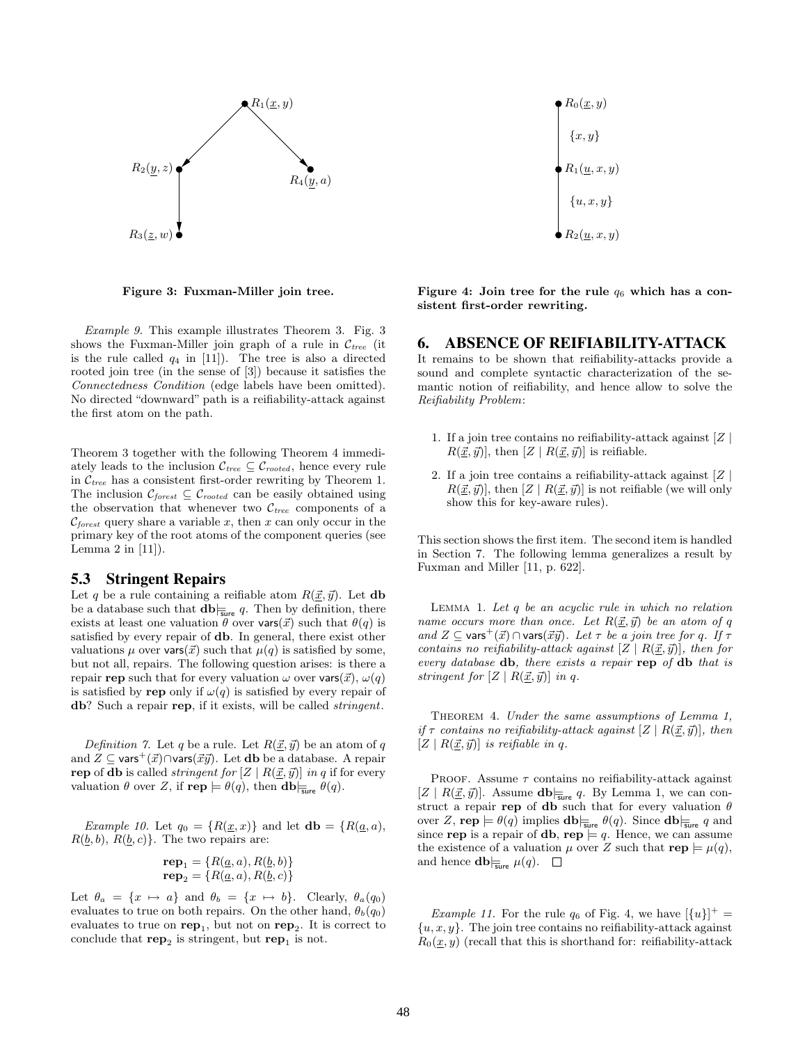

Figure 3: Fuxman-Miller join tree.

Example 9. This example illustrates Theorem 3. Fig. 3 shows the Fuxman-Miller join graph of a rule in  $\mathcal{C}_{tree}$  (it is the rule called  $q_4$  in [11]). The tree is also a directed rooted join tree (in the sense of [3]) because it satisfies the Connectedness Condition (edge labels have been omitted). No directed "downward" path is a reifiability-attack against the first atom on the path.

Theorem 3 together with the following Theorem 4 immediately leads to the inclusion  $C_{tree} \subseteq C_{rooted}$ , hence every rule in  $\mathcal{C}_{tree}$  has a consistent first-order rewriting by Theorem 1. The inclusion  $\mathcal{C}_{forest} \subseteq \mathcal{C}_{rooted}$  can be easily obtained using the observation that whenever two  $\mathcal{C}_{tree}$  components of a  $\mathcal{C}_{forest}$  query share a variable x, then x can only occur in the primary key of the root atoms of the component queries (see Lemma  $2$  in  $[11]$ .

#### **5.3 Stringent Repairs**

Let q be a rule containing a reifiable atom  $R(\vec{x}, \vec{y})$ . Let **db** be a database such that  $\mathbf{db}_{\overline{\mathbf{s}}\mathbf{u}\mathbf{e}} q$ . Then by definition, there exists at least one valuation  $\theta$  over vars( $\vec{x}$ ) such that  $\theta(q)$  is satisfied by every repair of db. In general, there exist other valuations  $\mu$  over vars $(\vec{x})$  such that  $\mu(q)$  is satisfied by some, but not all, repairs. The following question arises: is there a repair rep such that for every valuation  $\omega$  over vars $(\vec{x}), \omega(q)$ is satisfied by rep only if  $\omega(q)$  is satisfied by every repair of db? Such a repair rep, if it exists, will be called *stringent*.

Definition 7. Let q be a rule. Let  $R(\vec{x}, \vec{y})$  be an atom of q and  $Z \subseteq \text{vars}^+(\vec{x}) \cap \text{vars}(\vec{x}\vec{y})$ . Let db be a database. A repair rep of db is called *stringent for*  $[Z | R(\underline{\vec{x}}, \vec{y})]$  in q if for every valuation  $\theta$  over Z, if  $\mathbf{rep} \models \theta(q)$ , then  $\mathbf{db}|_{\overline{\mathbf{s}}\mathbf{ure}} \theta(q)$ .

Example 10. Let  $q_0 = \{R(\underline{x},x)\}\$ and let  $\mathbf{db} = \{R(\underline{a},a),\}$  $R(\underline{b}, b), R(\underline{b}, c)$ . The two repairs are:

$$
\mathbf{rep}_1 = \{ R(\underline{a}, a), R(\underline{b}, b) \}
$$
  

$$
\mathbf{rep}_2 = \{ R(\underline{a}, a), R(\underline{b}, c) \}
$$

Let  $\theta_a = \{x \mapsto a\}$  and  $\theta_b = \{x \mapsto b\}$ . Clearly,  $\theta_a(q_0)$ evaluates to true on both repairs. On the other hand,  $\theta_b(q_0)$ evaluates to true on  $\mathbf{rep}_1$ , but not on  $\mathbf{rep}_2$ . It is correct to conclude that  $\mathbf{rep}_2$  is stringent, but  $\mathbf{rep}_1$  is not.

 $R_0(\underline{x}, y)$  $R_1(\underline{u}, x, y)$  $R_2(\underline{u}, x, y)$  ${x, y}$  $\{u, x, y\}$ 

Figure 4: Join tree for the rule  $q_6$  which has a consistent first-order rewriting.

#### **6. ABSENCE OF REIFIABILITY-ATTACK**

It remains to be shown that reifiability-attacks provide a sound and complete syntactic characterization of the semantic notion of reifiability, and hence allow to solve the Reifiability Problem:

- 1. If a join tree contains no reifiability-attack against  $|Z|$  $R(\underline{\vec{x}}, \vec{y})$ , then  $[Z | R(\underline{\vec{x}}, \vec{y})]$  is reifiable.
- 2. If a join tree contains a reifiability-attack against  $|Z|$  $R(\vec{x}, \vec{y})$ , then  $[Z | R(\vec{x}, \vec{y})]$  is not reifiable (we will only show this for key-aware rules).

This section shows the first item. The second item is handled in Section 7. The following lemma generalizes a result by Fuxman and Miller [11, p. 622].

LEMMA 1. Let  $q$  be an acyclic rule in which no relation name occurs more than once. Let  $R(\underline{\vec{x}}, \vec{y})$  be an atom of q and  $Z \subseteq \text{vars}^+(\vec{x}) \cap \text{vars}(\vec{x}\vec{y})$ . Let  $\tau$  be a join tree for q. If  $\tau$ contains no reifiability-attack against  $[Z | R(\vec{x}, \vec{y})]$ , then for every database db, there exists a repair rep of db that is stringent for  $[Z | R(\vec{x}, \vec{y})]$  in q.

THEOREM 4. Under the same assumptions of Lemma 1, if  $\tau$  contains no reifiability-attack against  $[Z | R(\vec{x}, \vec{y})]$ , then  $[Z \mid R(\vec{x}, \vec{y})]$  is reifiable in q.

PROOF. Assume  $\tau$  contains no reifiability-attack against  $[Z \mid R(\underline{\vec{x}}, \vec{y})]$ . Assume  $\textbf{db}|_{\overline{\textbf{sure}}} q$ . By Lemma 1, we can construct a repair rep of db such that for every valuation  $\theta$ over Z, rep  $\models \theta(q)$  implies  $\mathbf{db}|_{\overline{\mathbf{s}}_{\text{line}}} \theta(q)$ . Since  $\mathbf{db}|_{\overline{\mathbf{s}}_{\text{line}}} q$  and since rep is a repair of db, rep  $\models q$ . Hence, we can assume the existence of a valuation  $\mu$  over Z such that  $\mathbf{rep} \models \mu(q)$ , and hence  $\mathbf{db}|_{\overline{\mathsf{sure}}} \mu(q)$ .  $\Box$ 

*Example 11.* For the rule  $q_6$  of Fig. 4, we have  $\left[\lbrace u \rbrace \right]^+$  =  $\{u, x, y\}$ . The join tree contains no reifiability-attack against  $R_0(\underline{x}, y)$  (recall that this is shorthand for: reifiability-attack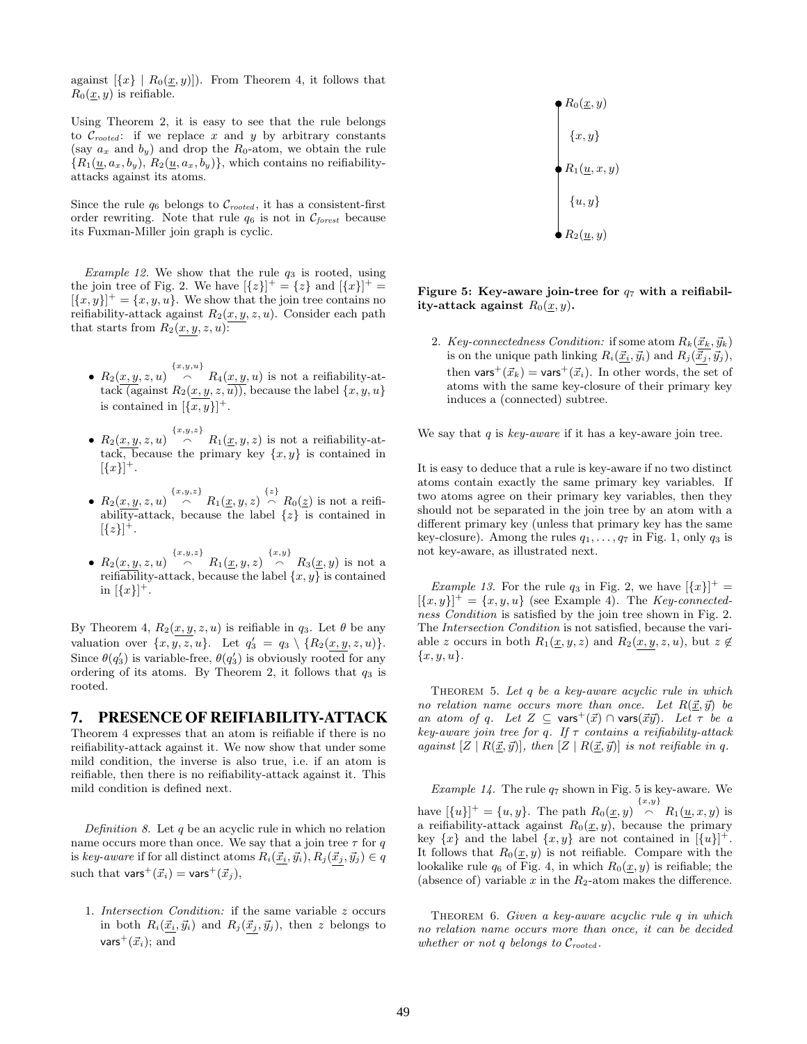against  $[\{x\} | R_0(\underline{x}, y)]$ . From Theorem 4, it follows that  $R_0(\underline{x}, y)$  is reifiable.

Using Theorem 2, it is easy to see that the rule belongs to  $\mathcal{C}_{rooted}$ : if we replace x and y by arbitrary constants (say  $a_x$  and  $b_y$ ) and drop the  $R_0$ -atom, we obtain the rule  ${R_1(\underline{u}, a_x, b_y), R_2(\underline{u}, a_x, b_y)}$ , which contains no reifiabilityattacks against its atoms.

Since the rule  $q_6$  belongs to  $\mathcal{C}_{rooted}$ , it has a consistent-first order rewriting. Note that rule  $q_6$  is not in  $\mathcal{C}_{forest}$  because its Fuxman-Miller join graph is cyclic.

*Example 12.* We show that the rule  $q_3$  is rooted, using the join tree of Fig. 2. We have  $\left[\{z\}\right]^+=\{z\}$  and  $\left[\{x\}\right]^+=$  $[\{x,y\}]^+=\{x,y,u\}.$  We show that the join tree contains no reifiability-attack against  $R_2(x, y, z, u)$ . Consider each path that starts from  $R_2(x, y, z, u)$ :

- 
- $R_2(x, y, z, u) \stackrel{\{x, y, u\}}{\frown} R_4(x, y, u)$  is not a reifiability-attack (against  $R_2(x, y, z, u)$ ), because the label  $\{x, y, u\}$ is contained in  $[\{x, y\}]^+$ .
- $R_2(x, y, z, u)$   $\stackrel{\{x, y, z\}}{\frown}$   $R_1(\underline{x}, y, z)$  is not a reifiability-attack, because the primary key  $\{x, y\}$  is contained in  $[\{x\}]^+.$
- $R_2(x, y, z, u)$   $\stackrel{\{x,y,z\}}{\frown}$   $R_1(\underline{x}, y, z)$   $\stackrel{\{z\}}{\frown}$   $R_0(\underline{z})$  is not a reifiability-attack, because the label {z} is contained in  $[\{z\}]^{\dagger}.$
- $R_2(x, y, z, u)$   $\stackrel{\{x, y, z\}}{\frown}$   $R_1(\underline{x}, y, z)$   $\stackrel{\{x, y\}}{\frown}$   $R_3(\underline{x}, y)$  is not a reifiability-attack, because the label  $\{x, y\}$  is contained in  $[\{x\}]^+$ .

By Theorem 4,  $R_2(x, y, z, u)$  is reifiable in  $q_3$ . Let  $\theta$  be any valuation over  $\{x, y, z, u\}$ . Let  $q'_3 = q_3 \setminus \{R_2(x, y, z, u)\}.$ Since  $\theta(q'_3)$  is variable-free,  $\theta(q'_3)$  is obviously rooted for any ordering of its atoms. By Theorem 2, it follows that  $q_3$  is rooted.

# **7. PRESENCE OF REIFIABILITY-ATTACK**

Theorem 4 expresses that an atom is reifiable if there is no reifiability-attack against it. We now show that under some mild condition, the inverse is also true, i.e. if an atom is reifiable, then there is no reifiability-attack against it. This mild condition is defined next.

Definition 8. Let  $q$  be an acyclic rule in which no relation name occurs more than once. We say that a join tree  $\tau$  for q is key-aware if for all distinct atoms  $R_i(\vec{x}_i, \vec{y}_i), R_j(\vec{x}_j, \vec{y}_j) \in q$ such that vars<sup>+</sup> $(\vec{x}_i)$  = vars<sup>+</sup> $(\vec{x}_j)$ ,

1. Intersection Condition: if the same variable z occurs in both  $R_i(\underline{\vec{x}_i}, \vec{y}_i)$  and  $R_j(\underline{\vec{x}_j}, \vec{y}_j)$ , then z belongs to vars<sup>+</sup> $(\vec{x}_i)$ ; and



Figure 5: Key-aware join-tree for  $q_7$  with a reifiability-attack against  $R_0(\underline{x}, y)$ .

2. Key-connectedness Condition: if some atom  $R_k(\vec{x}_k, \vec{y}_k)$ is on the unique path linking  $R_i(\vec{x}_i, \vec{y}_i)$  and  $R_j(\vec{x}_j, \vec{y}_j)$ , then vars<sup>+</sup>( $\vec{x}_k$ ) = vars<sup>+</sup>( $\vec{x}_i$ ). In other words, the set of atoms with the same key-closure of their primary key induces a (connected) subtree.

We say that  $q$  is key-aware if it has a key-aware join tree.

It is easy to deduce that a rule is key-aware if no two distinct atoms contain exactly the same primary key variables. If two atoms agree on their primary key variables, then they should not be separated in the join tree by an atom with a different primary key (unless that primary key has the same key-closure). Among the rules  $q_1, \ldots, q_7$  in Fig. 1, only  $q_3$  is not key-aware, as illustrated next.

*Example 13.* For the rule  $q_3$  in Fig. 2, we have  $\left[\{x\}\right]^+$  =  $[\{x,y\}]^+ = \{x,y,u\}$  (see Example 4). The Key-connectedness Condition is satisfied by the join tree shown in Fig. 2. The Intersection Condition is not satisfied, because the variable z occurs in both  $R_1(\underline{x}, y, z)$  and  $R_2(x, y, z, u)$ , but  $z \notin$  ${x, y, u}.$ 

THEOREM 5. Let  $q$  be a key-aware acyclic rule in which no relation name occurs more than once. Let  $R(\vec{x}, \vec{y})$  be an atom of q. Let  $Z \subseteq \text{vars}^+(\vec{x}) \cap \text{vars}(\vec{x}\vec{y})$ . Let  $\tau$  be a key-aware join tree for q. If  $\tau$  contains a reifiability-attack against  $[Z \mid R(\underline{\vec{x}}, \vec{y})]$ , then  $[Z \mid R(\underline{\vec{x}}, \vec{y})]$  is not reifiable in q.

Example 14. The rule  $q_7$  shown in Fig. 5 is key-aware. We have  $[\{u\}]^+ = \{u, y\}$ . The path  $R_0(\underline{x}, y) \stackrel{\{x, y\}}{\frown} R_1(\underline{u}, x, y)$  is a reifiability-attack against  $R_0(\underline{x}, y)$ , because the primary key  $\{x\}$  and the label  $\{x, y\}$  are not contained in  $[\{u\}]^+$ . It follows that  $R_0(\underline{x}, y)$  is not reifiable. Compare with the lookalike rule  $q_6$  of Fig. 4, in which  $R_0(\underline{x}, y)$  is reifiable; the (absence of) variable  $x$  in the  $R_2$ -atom makes the difference.

Theorem 6. Given a key-aware acyclic rule q in which no relation name occurs more than once, it can be decided whether or not q belongs to  $\mathcal{C}_{rooted}$ .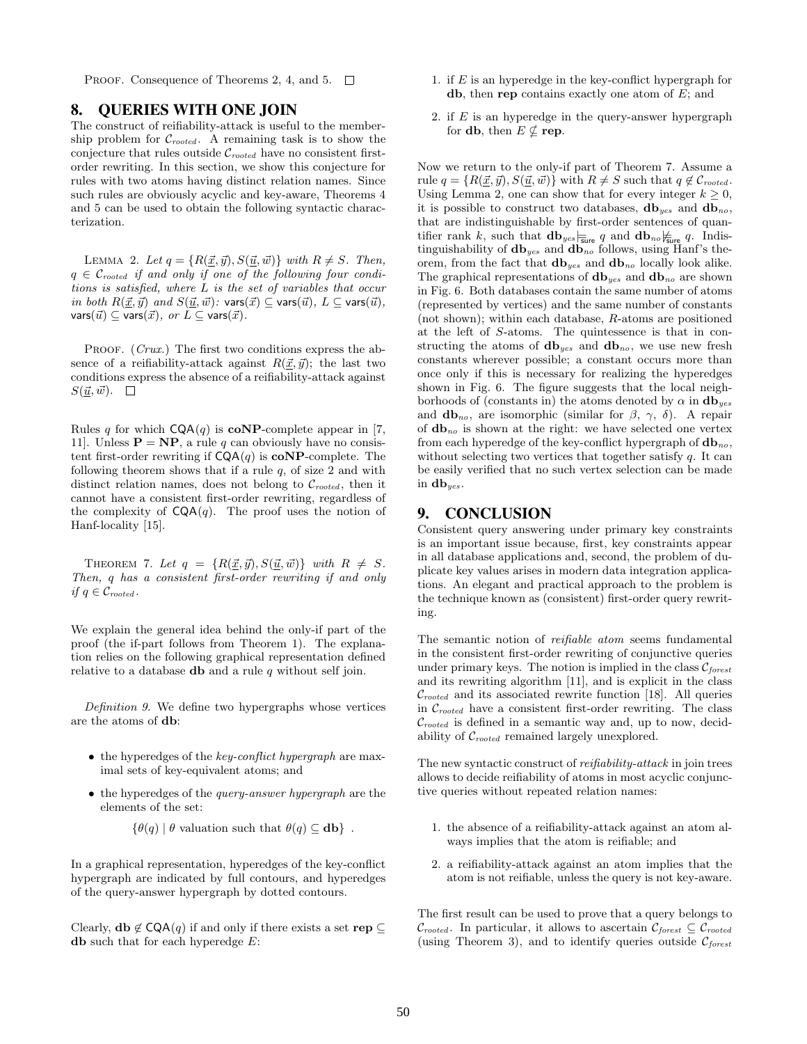PROOF. Consequence of Theorems 2, 4, and 5.  $\Box$ 

# **8. QUERIES WITH ONE JOIN**

The construct of reifiability-attack is useful to the membership problem for  $\mathcal{C}_{rooted}$ . A remaining task is to show the conjecture that rules outside  $C_{rooted}$  have no consistent firstorder rewriting. In this section, we show this conjecture for rules with two atoms having distinct relation names. Since such rules are obviously acyclic and key-aware, Theorems 4 and 5 can be used to obtain the following syntactic characterization.

LEMMA 2. Let  $q = \{R(\vec{x}, \vec{y}), S(\vec{u}, \vec{w})\}$  with  $R \neq S$ . Then,  $q \in \mathcal{C}_{rooted}$  if and only if one of the following four conditions is satisfied, where L is the set of variables that occur in both  $R(\vec{x}, \vec{y})$  and  $S(\vec{u}, \vec{w})$ : vars $(\vec{x}) \subseteq$  vars $(\vec{u}), L \subseteq$  vars $(\vec{u}),$ vars $(\vec{u}) \subseteq \text{vars}(\vec{x}), \text{ or } L \subseteq \text{vars}(\vec{x}).$ 

PROOF. (Crux.) The first two conditions express the absence of a reifiability-attack against  $R(\vec{x}, \vec{y})$ ; the last two conditions express the absence of a reifiability-attack against  $S(\underline{\vec{u}}, \vec{w})$ .  $\Box$ 

Rules q for which  $CQA(q)$  is **coNP**-complete appear in [7, 11]. Unless  $\mathbf{P} = \mathbf{NP}$ , a rule q can obviously have no consistent first-order rewriting if  $CQA(q)$  is  $coNP$ -complete. The following theorem shows that if a rule  $q$ , of size 2 and with distinct relation names, does not belong to  $C_{rooted}$ , then it cannot have a consistent first-order rewriting, regardless of the complexity of  $CQA(q)$ . The proof uses the notion of Hanf-locality [15].

THEOREM 7. Let  $q = \{R(\underline{\vec{x}}, \vec{y}), S(\underline{\vec{u}}, \vec{w})\}$  with  $R \neq S$ . Then, q has a consistent first-order rewriting if and only if  $q \in \mathcal{C}_{rooted}$ .

We explain the general idea behind the only-if part of the proof (the if-part follows from Theorem 1). The explanation relies on the following graphical representation defined relative to a database **db** and a rule  $q$  without self join.

Definition 9. We define two hypergraphs whose vertices are the atoms of db:

- $\bullet$  the hyperedges of the key-conflict hypergraph are maximal sets of key-equivalent atoms; and
- the hyperedges of the *query-answer hypergraph* are the elements of the set:
	- $\{\theta(q) | \theta$  valuation such that  $\theta(q) \subset$  db}.

In a graphical representation, hyperedges of the key-conflict hypergraph are indicated by full contours, and hyperedges of the query-answer hypergraph by dotted contours.

Clearly,  $\mathbf{db} \notin \mathsf{CQA}(q)$  if and only if there exists a set rep  $\subseteq$ db such that for each hyperedge  $E$ :

- 1. if  $E$  is an hyperedge in the key-conflict hypergraph for **, then <b>rep** contains exactly one atom of  $E$ ; and
- 2. if  $E$  is an hyperedge in the query-answer hypergraph for **db**, then  $E \nsubseteq \text{rep}$ .

Now we return to the only-if part of Theorem 7. Assume a rule  $q = \{R(\vec{x}, \vec{y}), S(\vec{u}, \vec{w})\}$  with  $R \neq S$  such that  $q \notin \mathcal{C}_{rooted}$ . Using Lemma 2, one can show that for every integer  $k \geq 0$ , it is possible to construct two databases,  $db_{yes}$  and  $db_{no}$ , that are indistinguishable by first-order sentences of quantifier rank k, such that  $\mathbf{db}_{yes}$   $\frac{1}{\text{sure}}$  q and  $\mathbf{db}_{no}$   $\frac{1}{\text{Super}}$  q. Indistinguishability of  **and**  $**db**_{no}$  **follows, using Hanf's the**orem, from the fact that  $\mathbf{db}_{yes}$  and  $\mathbf{db}_{no}$  locally look alike. The graphical representations of  **and**  $**db**<sub>no</sub>$  **are shown** in Fig. 6. Both databases contain the same number of atoms (represented by vertices) and the same number of constants (not shown); within each database, R-atoms are positioned at the left of S-atoms. The quintessence is that in constructing the atoms of  $db_{yes}$  and  $db_{no}$ , we use new fresh constants wherever possible; a constant occurs more than once only if this is necessary for realizing the hyperedges shown in Fig. 6. The figure suggests that the local neighborhoods of (constants in) the atoms denoted by  $\alpha$  in  $db_{yes}$ and **, are isomorphic (similar for**  $\beta$ **,**  $\gamma$ **,**  $\delta$ **). A repair** of  **is shown at the right: we have selected one vertex** from each hyperedge of the key-conflict hypergraph of  $db_{no}$ , without selecting two vertices that together satisfy  $q$ . It can be easily verified that no such vertex selection can be made in **.** 

# **9. CONCLUSION**

Consistent query answering under primary key constraints is an important issue because, first, key constraints appear in all database applications and, second, the problem of duplicate key values arises in modern data integration applications. An elegant and practical approach to the problem is the technique known as (consistent) first-order query rewriting.

The semantic notion of reifiable atom seems fundamental in the consistent first-order rewriting of conjunctive queries under primary keys. The notion is implied in the class  $\mathcal{C}_{forest}$ and its rewriting algorithm [11], and is explicit in the class  $C_{rooted}$  and its associated rewrite function [18]. All queries in  $\mathcal{C}_{rooted}$  have a consistent first-order rewriting. The class  $\mathcal{C}_{rooted}$  is defined in a semantic way and, up to now, decidability of  $C_{rooted}$  remained largely unexplored.

The new syntactic construct of reifiability-attack in join trees allows to decide reifiability of atoms in most acyclic conjunctive queries without repeated relation names:

- 1. the absence of a reifiability-attack against an atom always implies that the atom is reifiable; and
- 2. a reifiability-attack against an atom implies that the atom is not reifiable, unless the query is not key-aware.

The first result can be used to prove that a query belongs to  $\mathcal{C}_{rooted}$ . In particular, it allows to ascertain  $\mathcal{C}_{forest} \subseteq \mathcal{C}_{rooted}$ (using Theorem 3), and to identify queries outside  $\mathcal{C}_{forest}$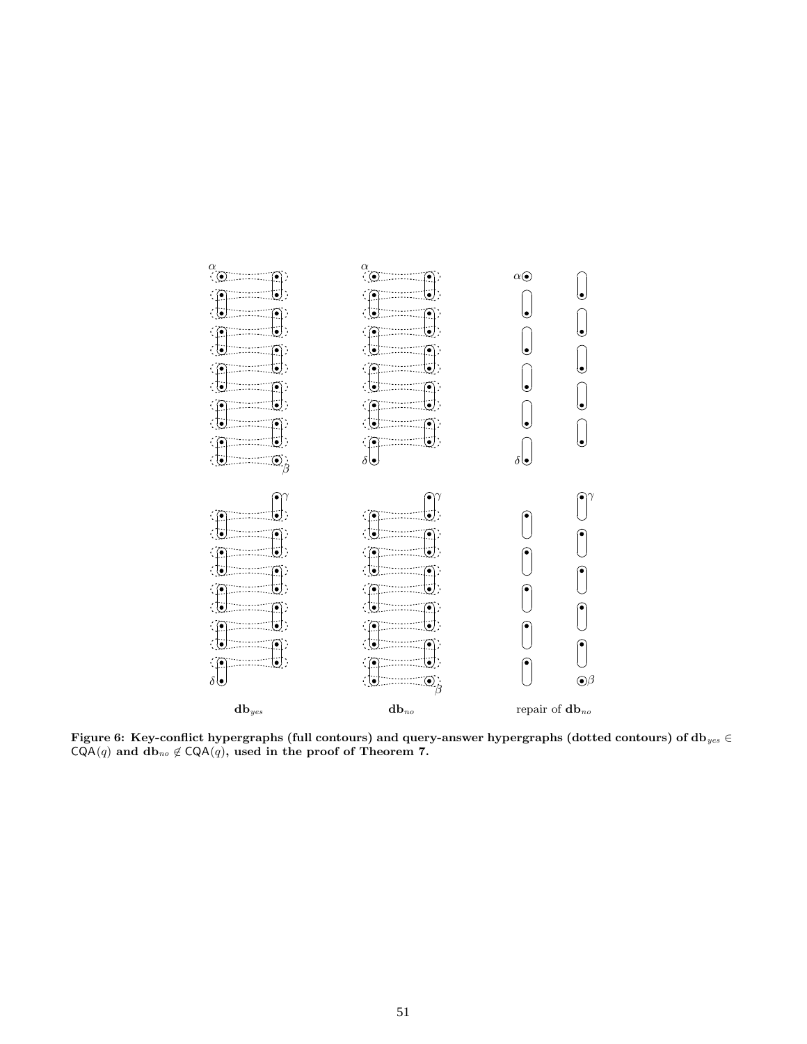

Figure 6: Key-conflict hypergraphs (full contours) and query-answer hypergraphs (dotted contours) of  ${\rm d} {\bf b}_{yes} \in$  $\mathsf{CQA}(q)$  and  $\mathbf{db}_{no} \notin \mathsf{CQA}(q)$ , used in the proof of Theorem 7.